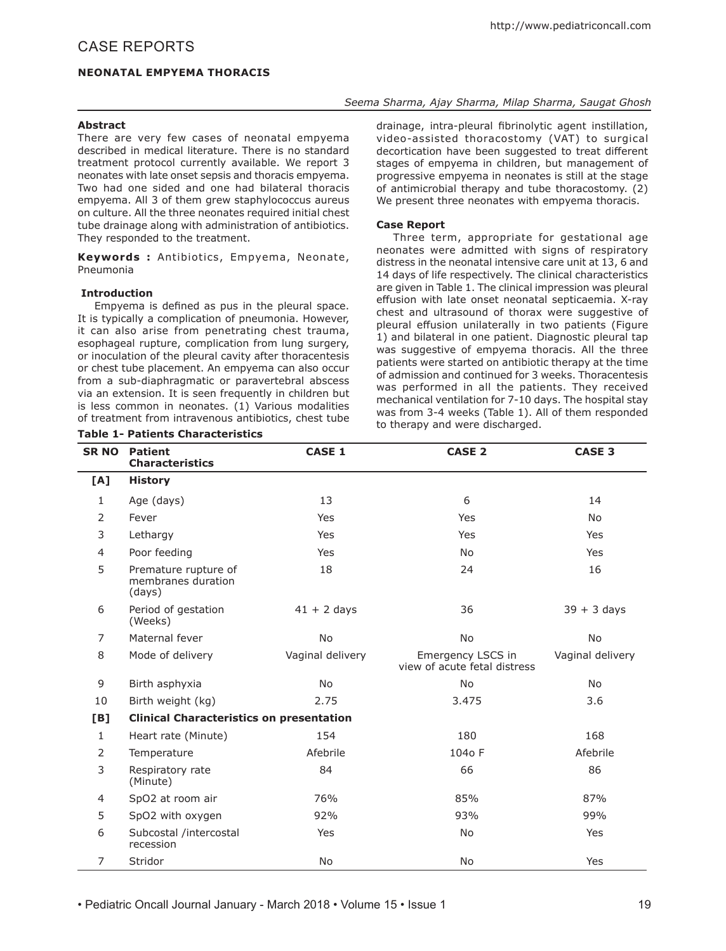# *Seema Sharma, Ajay Sharma, Milap Sharma, Saugat Ghosh*

### **Abstract**

There are very few cases of neonatal empyema described in medical literature. There is no standard treatment protocol currently available. We report 3 neonates with late onset sepsis and thoracis empyema. Two had one sided and one had bilateral thoracis empyema. All 3 of them grew staphylococcus aureus on culture. All the three neonates required initial chest tube drainage along with administration of antibiotics. They responded to the treatment.

**Keywords :** Antibiotics, Empyema, Neonate, Pneumonia

### **Introduction**

Empyema is defined as pus in the pleural space. It is typically a complication of pneumonia. However, it can also arise from penetrating chest trauma, esophageal rupture, complication from lung surgery, or inoculation of the pleural cavity after thoracentesis or chest tube placement. An empyema can also occur from a sub-diaphragmatic or paravertebral abscess via an extension. It is seen frequently in children but is less common in neonates. (1) Various modalities of treatment from intravenous antibiotics, chest tube

### **Table 1- Patients Characteristics**

drainage, intra-pleural fibrinolytic agent instillation, video-assisted thoracostomy (VAT) to surgical decortication have been suggested to treat different stages of empyema in children, but management of progressive empyema in neonates is still at the stage of antimicrobial therapy and tube thoracostomy. (2) We present three neonates with empyema thoracis.

## **Case Report**

Three term, appropriate for gestational age neonates were admitted with signs of respiratory distress in the neonatal intensive care unit at 13, 6 and 14 days of life respectively. The clinical characteristics are given in Table 1. The clinical impression was pleural effusion with late onset neonatal septicaemia. X-ray chest and ultrasound of thorax were suggestive of pleural effusion unilaterally in two patients (Figure 1) and bilateral in one patient. Diagnostic pleural tap was suggestive of empyema thoracis. All the three patients were started on antibiotic therapy at the time of admission and continued for 3 weeks. Thoracentesis was performed in all the patients. They received mechanical ventilation for 7-10 days. The hospital stay was from 3-4 weeks (Table 1). All of them responded<br>to therapy and were discharged.

| <b>SR NO</b> | <b>Patient</b><br><b>Characteristics</b>             | <b>CASE 1</b>    | <b>CASE 2</b>                                     | <b>CASE 3</b>    |  |  |
|--------------|------------------------------------------------------|------------------|---------------------------------------------------|------------------|--|--|
| [A]          | <b>History</b>                                       |                  |                                                   |                  |  |  |
| $\mathbf{1}$ | Age (days)                                           | 13               | 6                                                 | 14               |  |  |
| 2            | Fever                                                | Yes              | Yes                                               | No               |  |  |
| 3            | Lethargy                                             | Yes              | Yes                                               | <b>Yes</b>       |  |  |
| 4            | Poor feeding                                         | Yes              | <b>No</b>                                         | Yes              |  |  |
| 5            | Premature rupture of<br>membranes duration<br>(days) | 18               | 24                                                | 16               |  |  |
| 6            | Period of gestation<br>(Weeks)                       | $41 + 2$ days    | 36                                                | $39 + 3$ days    |  |  |
| 7            | Maternal fever                                       | <b>No</b>        | <b>No</b>                                         | <b>No</b>        |  |  |
| 8            | Mode of delivery                                     | Vaginal delivery | Emergency LSCS in<br>view of acute fetal distress | Vaginal delivery |  |  |
| 9            | Birth asphyxia                                       | <b>No</b>        | <b>No</b>                                         | <b>No</b>        |  |  |
| 10           | Birth weight (kg)                                    | 2.75             | 3.475                                             | 3.6              |  |  |
| <b>[B]</b>   | <b>Clinical Characteristics on presentation</b>      |                  |                                                   |                  |  |  |
| $\mathbf{1}$ | Heart rate (Minute)                                  | 154              | 180                                               | 168              |  |  |
| 2            | Temperature                                          | Afebrile         | 104o F                                            | Afebrile         |  |  |
| 3            | Respiratory rate<br>(Minute)                         | 84               | 66                                                | 86               |  |  |
| 4            | SpO2 at room air                                     | 76%              | 85%                                               | 87%              |  |  |
| 5            | SpO2 with oxygen                                     | 92%              | 93%                                               | 99%              |  |  |
| 6            | Subcostal /intercostal<br>recession                  | Yes              | <b>No</b>                                         | Yes              |  |  |
| 7            | Stridor                                              | No               | <b>No</b>                                         | Yes              |  |  |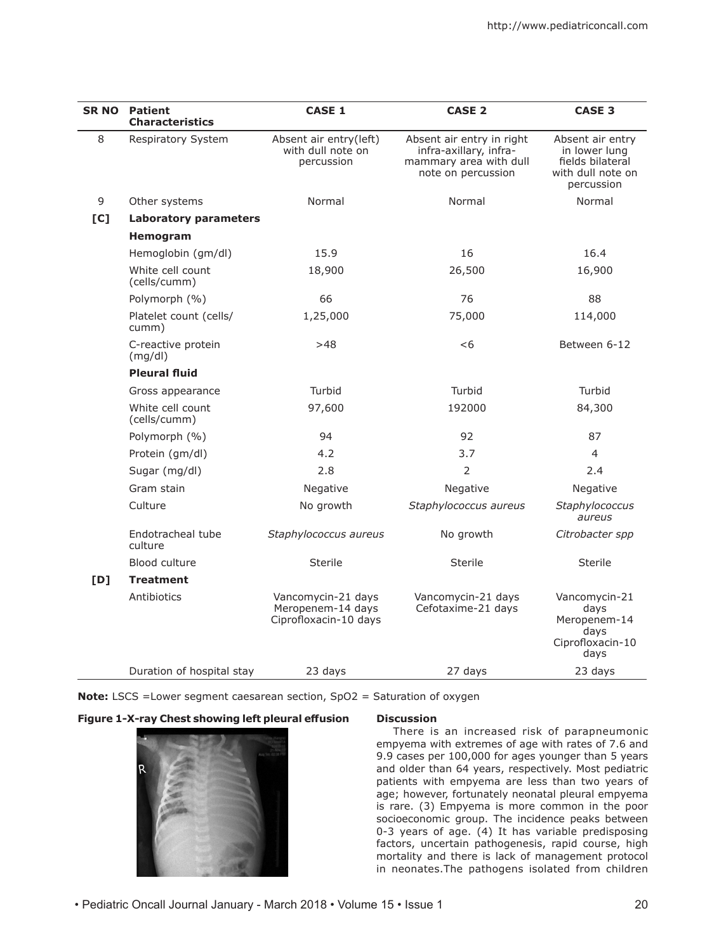| <b>SR NO</b> | <b>Patient</b><br><b>Characteristics</b> | <b>CASE 1</b>                                                    | <b>CASE 2</b>                                                                                       | <b>CASE 3</b>                                                                            |
|--------------|------------------------------------------|------------------------------------------------------------------|-----------------------------------------------------------------------------------------------------|------------------------------------------------------------------------------------------|
| 8            | Respiratory System                       | Absent air entry(left)<br>with dull note on<br>percussion        | Absent air entry in right<br>infra-axillary, infra-<br>mammary area with dull<br>note on percussion | Absent air entry<br>in lower lung<br>fields bilateral<br>with dull note on<br>percussion |
| 9            | Other systems                            | Normal                                                           | Normal                                                                                              | Normal                                                                                   |
| [C]          | <b>Laboratory parameters</b>             |                                                                  |                                                                                                     |                                                                                          |
|              | Hemogram                                 |                                                                  |                                                                                                     |                                                                                          |
|              | Hemoglobin (gm/dl)                       | 15.9                                                             | 16                                                                                                  | 16.4                                                                                     |
|              | White cell count<br>(cells/cumm)         | 18,900                                                           | 26,500                                                                                              | 16,900                                                                                   |
|              | Polymorph (%)                            | 66                                                               | 76                                                                                                  | 88                                                                                       |
|              | Platelet count (cells/<br>cumm)          | 1,25,000                                                         | 75,000                                                                                              | 114,000                                                                                  |
|              | C-reactive protein<br>(mg/dl)            | >48                                                              | $<$ 6                                                                                               | Between 6-12                                                                             |
|              | <b>Pleural fluid</b>                     |                                                                  |                                                                                                     |                                                                                          |
|              | Gross appearance                         | Turbid                                                           | Turbid                                                                                              | Turbid                                                                                   |
|              | White cell count<br>(cells/cumm)         | 97,600                                                           | 192000                                                                                              | 84,300                                                                                   |
|              | Polymorph (%)                            | 94                                                               | 92                                                                                                  | 87                                                                                       |
|              | Protein (gm/dl)                          | 4.2                                                              | 3.7                                                                                                 | 4                                                                                        |
|              | Sugar (mg/dl)                            | 2.8                                                              | $\overline{2}$                                                                                      | 2.4                                                                                      |
|              | Gram stain                               | Negative                                                         | Negative                                                                                            | Negative                                                                                 |
|              | Culture                                  | No growth                                                        | Staphylococcus aureus                                                                               | Staphylococcus<br>aureus                                                                 |
|              | Endotracheal tube<br>culture             | Staphylococcus aureus                                            | No growth                                                                                           | Citrobacter spp                                                                          |
|              | <b>Blood culture</b>                     | <b>Sterile</b>                                                   | Sterile                                                                                             | <b>Sterile</b>                                                                           |
| [D]          | <b>Treatment</b>                         |                                                                  |                                                                                                     |                                                                                          |
|              | Antibiotics                              | Vancomycin-21 days<br>Meropenem-14 days<br>Ciprofloxacin-10 days | Vancomycin-21 days<br>Cefotaxime-21 days                                                            | Vancomycin-21<br>days<br>Meropenem-14<br>days<br>Ciprofloxacin-10<br>days                |
|              | Duration of hospital stay                | 23 days                                                          | 27 days                                                                                             | 23 days                                                                                  |

**Note:** LSCS = Lower segment caesarean section, SpO2 = Saturation of oxygen



There is an increased risk of parapneumonic empyema with extremes of age with rates of 7.6 and 9.9 cases per 100,000 for ages younger than 5 years and older than 64 years, respectively. Most pediatric patients with empyema are less than two years of age; however, fortunately neonatal pleural empyema is rare. (3) Empyema is more common in the poor socioeconomic group. The incidence peaks between 0-3 years of age. (4) It has variable predisposing factors, uncertain pathogenesis, rapid course, high mortality and there is lack of management protocol in neonates.The pathogens isolated from children